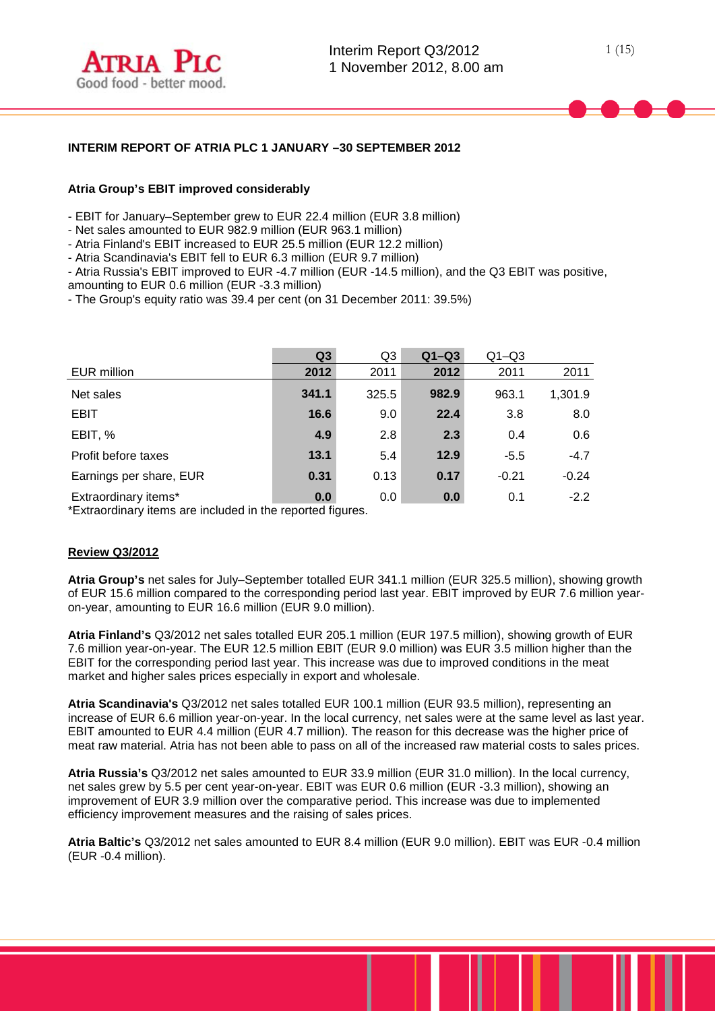

### **INTERIM REPORT OF ATRIA PLC 1 JANUARY –30 SEPTEMBER 2012**

#### **Atria Group's EBIT improved considerably**

- EBIT for January–September grew to EUR 22.4 million (EUR 3.8 million)

- Net sales amounted to EUR 982.9 million (EUR 963.1 million)

- Atria Finland's EBIT increased to EUR 25.5 million (EUR 12.2 million)

- Atria Scandinavia's EBIT fell to EUR 6.3 million (EUR 9.7 million)

- Atria Russia's EBIT improved to EUR -4.7 million (EUR -14.5 million), and the Q3 EBIT was positive, amounting to EUR 0.6 million (EUR -3.3 million)

- The Group's equity ratio was 39.4 per cent (on 31 December 2011: 39.5%)

|                         | Q <sub>3</sub> | Q <sub>3</sub> | $Q1-Q3$ | $Q1 - Q3$ |         |
|-------------------------|----------------|----------------|---------|-----------|---------|
| EUR million             | 2012           | 2011           | 2012    | 2011      | 2011    |
| Net sales               | 341.1          | 325.5          | 982.9   | 963.1     | 1,301.9 |
| <b>EBIT</b>             | 16.6           | 9.0            | 22.4    | 3.8       | 8.0     |
| EBIT, %                 | 4.9            | 2.8            | 2.3     | 0.4       | 0.6     |
| Profit before taxes     | 13.1           | 5.4            | 12.9    | $-5.5$    | $-4.7$  |
| Earnings per share, EUR | 0.31           | 0.13           | 0.17    | $-0.21$   | $-0.24$ |
| Extraordinary items*    | 0.0            | 0.0            | 0.0     | 0.1       | $-2.2$  |

\*Extraordinary items are included in the reported figures.

#### **Review Q3/2012**

**Atria Group's** net sales for July–September totalled EUR 341.1 million (EUR 325.5 million), showing growth of EUR 15.6 million compared to the corresponding period last year. EBIT improved by EUR 7.6 million yearon-year, amounting to EUR 16.6 million (EUR 9.0 million).

**Atria Finland's** Q3/2012 net sales totalled EUR 205.1 million (EUR 197.5 million), showing growth of EUR 7.6 million year-on-year. The EUR 12.5 million EBIT (EUR 9.0 million) was EUR 3.5 million higher than the EBIT for the corresponding period last year. This increase was due to improved conditions in the meat market and higher sales prices especially in export and wholesale.

**Atria Scandinavia's** Q3/2012 net sales totalled EUR 100.1 million (EUR 93.5 million), representing an increase of EUR 6.6 million year-on-year. In the local currency, net sales were at the same level as last year. EBIT amounted to EUR 4.4 million (EUR 4.7 million). The reason for this decrease was the higher price of meat raw material. Atria has not been able to pass on all of the increased raw material costs to sales prices.

**Atria Russia's** Q3/2012 net sales amounted to EUR 33.9 million (EUR 31.0 million). In the local currency, net sales grew by 5.5 per cent year-on-year. EBIT was EUR 0.6 million (EUR -3.3 million), showing an improvement of EUR 3.9 million over the comparative period. This increase was due to implemented efficiency improvement measures and the raising of sales prices.

**Atria Baltic's** Q3/2012 net sales amounted to EUR 8.4 million (EUR 9.0 million). EBIT was EUR -0.4 million (EUR -0.4 million).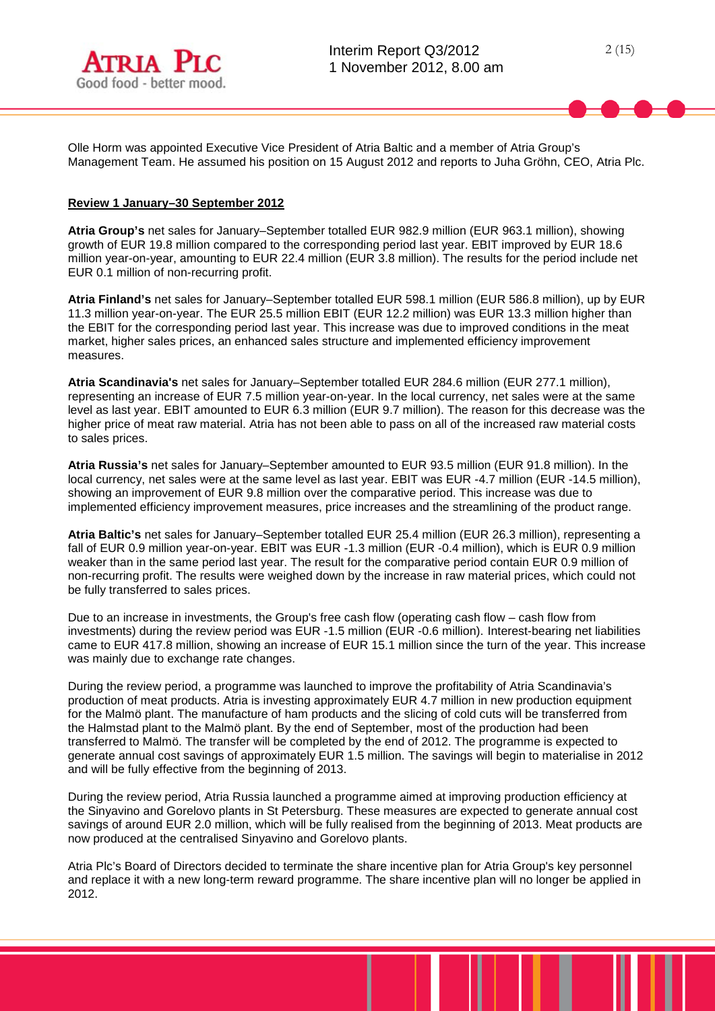

Olle Horm was appointed Executive Vice President of Atria Baltic and a member of Atria Group's Management Team. He assumed his position on 15 August 2012 and reports to Juha Gröhn, CEO, Atria Plc.

### **Review 1 January–30 September 2012**

**Atria Group's** net sales for January–September totalled EUR 982.9 million (EUR 963.1 million), showing growth of EUR 19.8 million compared to the corresponding period last year. EBIT improved by EUR 18.6 million year-on-year, amounting to EUR 22.4 million (EUR 3.8 million). The results for the period include net EUR 0.1 million of non-recurring profit.

**Atria Finland's** net sales for January–September totalled EUR 598.1 million (EUR 586.8 million), up by EUR 11.3 million year-on-year. The EUR 25.5 million EBIT (EUR 12.2 million) was EUR 13.3 million higher than the EBIT for the corresponding period last year. This increase was due to improved conditions in the meat market, higher sales prices, an enhanced sales structure and implemented efficiency improvement measures.

**Atria Scandinavia's** net sales for January–September totalled EUR 284.6 million (EUR 277.1 million), representing an increase of EUR 7.5 million year-on-year. In the local currency, net sales were at the same level as last year. EBIT amounted to EUR 6.3 million (EUR 9.7 million). The reason for this decrease was the higher price of meat raw material. Atria has not been able to pass on all of the increased raw material costs to sales prices.

**Atria Russia's** net sales for January–September amounted to EUR 93.5 million (EUR 91.8 million). In the local currency, net sales were at the same level as last year. EBIT was EUR -4.7 million (EUR -14.5 million), showing an improvement of EUR 9.8 million over the comparative period. This increase was due to implemented efficiency improvement measures, price increases and the streamlining of the product range.

**Atria Baltic's** net sales for January–September totalled EUR 25.4 million (EUR 26.3 million), representing a fall of EUR 0.9 million year-on-year. EBIT was EUR -1.3 million (EUR -0.4 million), which is EUR 0.9 million weaker than in the same period last year. The result for the comparative period contain EUR 0.9 million of non-recurring profit. The results were weighed down by the increase in raw material prices, which could not be fully transferred to sales prices.

Due to an increase in investments, the Group's free cash flow (operating cash flow – cash flow from investments) during the review period was EUR -1.5 million (EUR -0.6 million). Interest-bearing net liabilities came to EUR 417.8 million, showing an increase of EUR 15.1 million since the turn of the year. This increase was mainly due to exchange rate changes.

During the review period, a programme was launched to improve the profitability of Atria Scandinavia's production of meat products. Atria is investing approximately EUR 4.7 million in new production equipment for the Malmö plant. The manufacture of ham products and the slicing of cold cuts will be transferred from the Halmstad plant to the Malmö plant. By the end of September, most of the production had been transferred to Malmö. The transfer will be completed by the end of 2012. The programme is expected to generate annual cost savings of approximately EUR 1.5 million. The savings will begin to materialise in 2012 and will be fully effective from the beginning of 2013.

During the review period, Atria Russia launched a programme aimed at improving production efficiency at the Sinyavino and Gorelovo plants in St Petersburg. These measures are expected to generate annual cost savings of around EUR 2.0 million, which will be fully realised from the beginning of 2013. Meat products are now produced at the centralised Sinyavino and Gorelovo plants.

Atria Plc's Board of Directors decided to terminate the share incentive plan for Atria Group's key personnel and replace it with a new long-term reward programme. The share incentive plan will no longer be applied in 2012.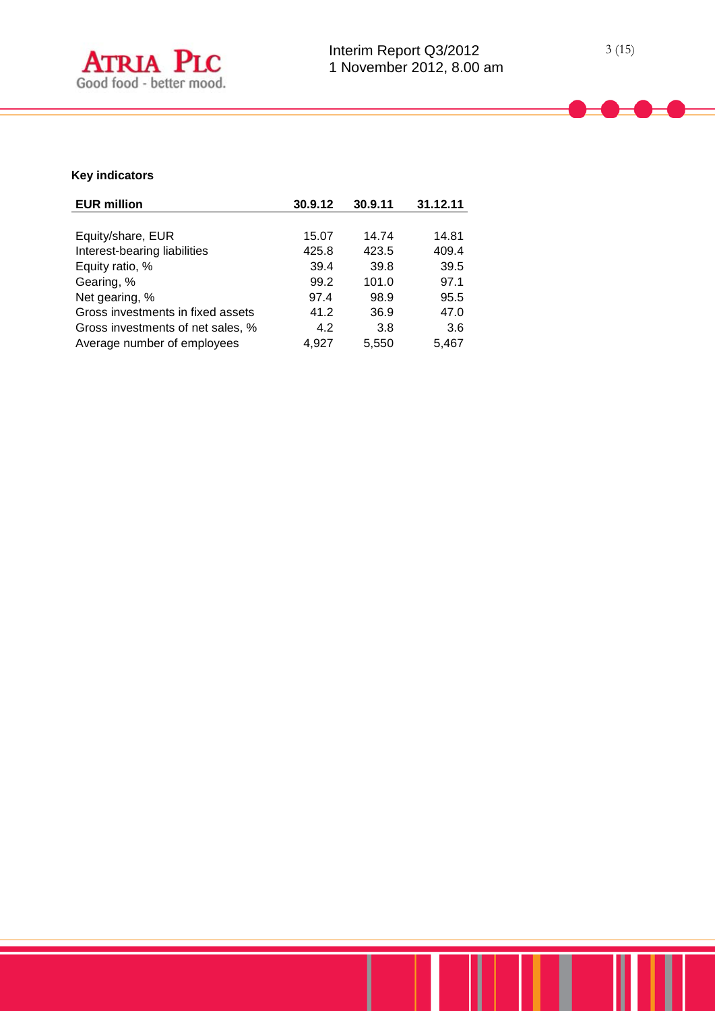

# **Key indicators**

| <b>EUR million</b>                | 30.9.12 | 30.9.11 | 31.12.11 |
|-----------------------------------|---------|---------|----------|
|                                   |         |         |          |
| Equity/share, EUR                 | 15.07   | 14.74   | 14.81    |
| Interest-bearing liabilities      | 425.8   | 423.5   | 409.4    |
| Equity ratio, %                   | 39.4    | 39.8    | 39.5     |
| Gearing, %                        | 99.2    | 101.0   | 97.1     |
| Net gearing, %                    | 97.4    | 98.9    | 95.5     |
| Gross investments in fixed assets | 41.2    | 36.9    | 47.0     |
| Gross investments of net sales, % | 4.2     | 3.8     | 3.6      |
| Average number of employees       | 4.927   | 5,550   | 5,467    |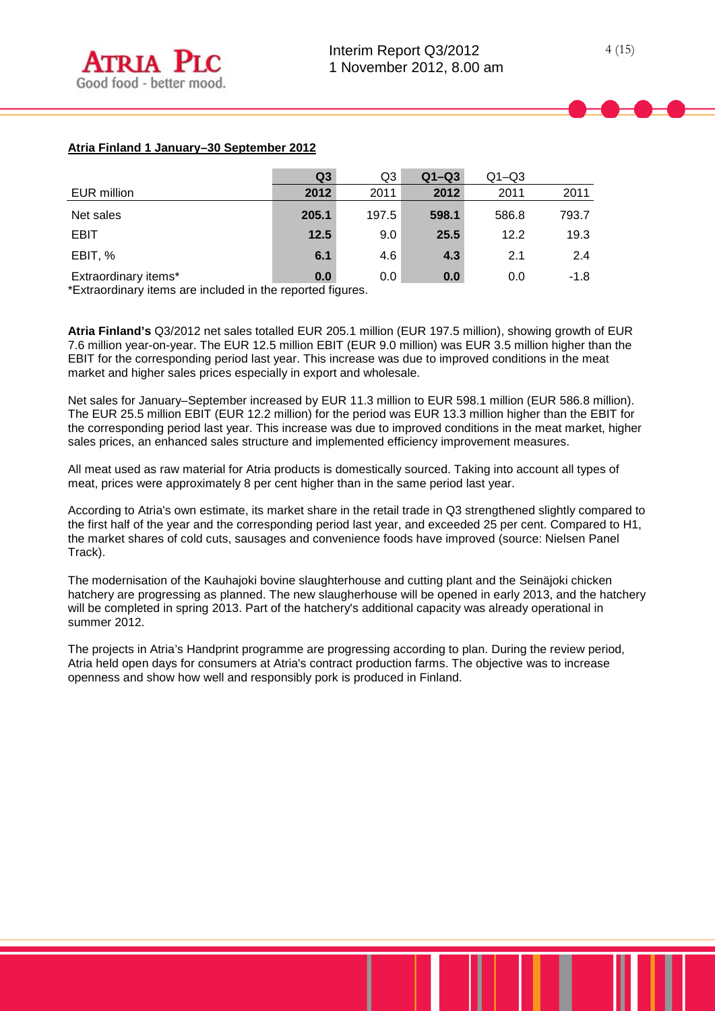# **Atria Finland 1 January–30 September 2012**

|                      | Q <sub>3</sub> | Q <sub>3</sub> | $Q1-Q3$ | $Q1 - Q3$ |        |
|----------------------|----------------|----------------|---------|-----------|--------|
| EUR million          | 2012           | 2011           | 2012    | 2011      | 2011   |
| Net sales            | 205.1          | 197.5          | 598.1   | 586.8     | 793.7  |
| <b>EBIT</b>          | 12.5           | 9.0            | 25.5    | 12.2      | 19.3   |
| EBIT, %              | 6.1            | 4.6            | 4.3     | 2.1       | 2.4    |
| Extraordinary items* | 0.0            | 0.0            | 0.0     | 0.0       | $-1.8$ |

\*Extraordinary items are included in the reported figures.

**Atria Finland's** Q3/2012 net sales totalled EUR 205.1 million (EUR 197.5 million), showing growth of EUR 7.6 million year-on-year. The EUR 12.5 million EBIT (EUR 9.0 million) was EUR 3.5 million higher than the EBIT for the corresponding period last year. This increase was due to improved conditions in the meat market and higher sales prices especially in export and wholesale.

Net sales for January–September increased by EUR 11.3 million to EUR 598.1 million (EUR 586.8 million). The EUR 25.5 million EBIT (EUR 12.2 million) for the period was EUR 13.3 million higher than the EBIT for the corresponding period last year. This increase was due to improved conditions in the meat market, higher sales prices, an enhanced sales structure and implemented efficiency improvement measures.

All meat used as raw material for Atria products is domestically sourced. Taking into account all types of meat, prices were approximately 8 per cent higher than in the same period last year.

According to Atria's own estimate, its market share in the retail trade in Q3 strengthened slightly compared to the first half of the year and the corresponding period last year, and exceeded 25 per cent. Compared to H1, the market shares of cold cuts, sausages and convenience foods have improved (source: Nielsen Panel Track).

The modernisation of the Kauhajoki bovine slaughterhouse and cutting plant and the Seinäjoki chicken hatchery are progressing as planned. The new slaugherhouse will be opened in early 2013, and the hatchery will be completed in spring 2013. Part of the hatchery's additional capacity was already operational in summer 2012.

The projects in Atria's Handprint programme are progressing according to plan. During the review period, Atria held open days for consumers at Atria's contract production farms. The objective was to increase openness and show how well and responsibly pork is produced in Finland.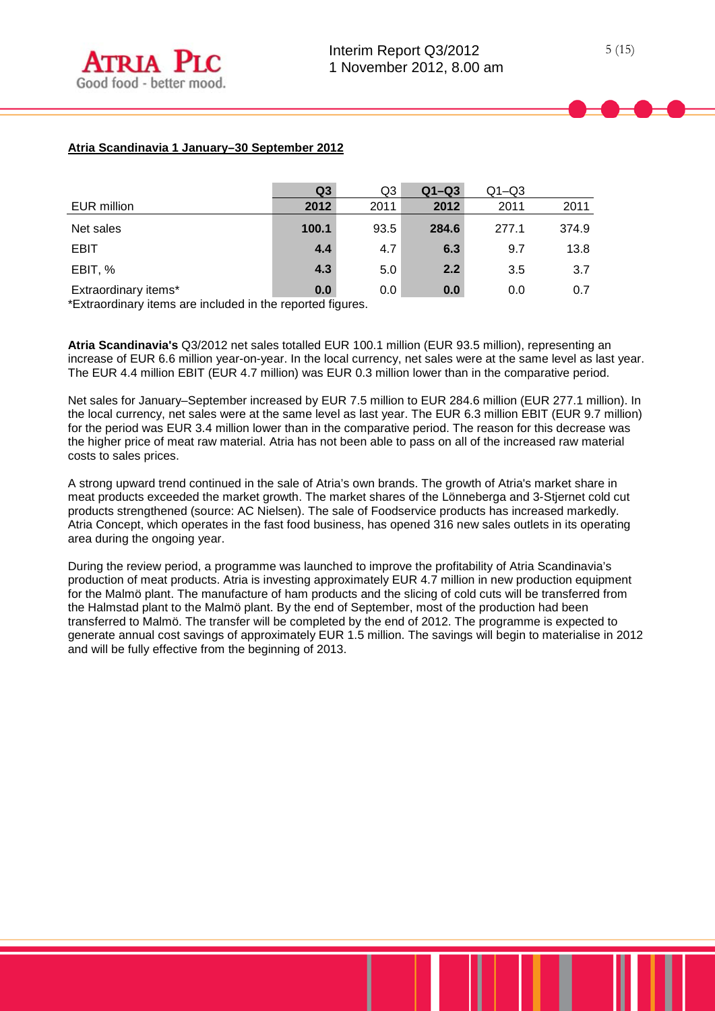|                      | Q <sub>3</sub> | Q3   | $Q1-Q3$ | $Q1 - Q3$ |       |
|----------------------|----------------|------|---------|-----------|-------|
| EUR million          | 2012           | 2011 | 2012    | 2011      | 2011  |
| Net sales            | 100.1          | 93.5 | 284.6   | 277.1     | 374.9 |
| <b>EBIT</b>          | 4.4            | 4.7  | 6.3     | 9.7       | 13.8  |
| EBIT, %              | 4.3            | 5.0  | 2.2     | 3.5       | 3.7   |
| Extraordinary items* | 0.0            | 0.0  | 0.0     | 0.0       | 0.7   |

\*Extraordinary items are included in the reported figures.

**Atria Scandinavia's** Q3/2012 net sales totalled EUR 100.1 million (EUR 93.5 million), representing an increase of EUR 6.6 million year-on-year. In the local currency, net sales were at the same level as last year. The EUR 4.4 million EBIT (EUR 4.7 million) was EUR 0.3 million lower than in the comparative period.

Net sales for January–September increased by EUR 7.5 million to EUR 284.6 million (EUR 277.1 million). In the local currency, net sales were at the same level as last year. The EUR 6.3 million EBIT (EUR 9.7 million) for the period was EUR 3.4 million lower than in the comparative period. The reason for this decrease was the higher price of meat raw material. Atria has not been able to pass on all of the increased raw material costs to sales prices.

A strong upward trend continued in the sale of Atria's own brands. The growth of Atria's market share in meat products exceeded the market growth. The market shares of the Lönneberga and 3-Stjernet cold cut products strengthened (source: AC Nielsen). The sale of Foodservice products has increased markedly. Atria Concept, which operates in the fast food business, has opened 316 new sales outlets in its operating area during the ongoing year.

During the review period, a programme was launched to improve the profitability of Atria Scandinavia's production of meat products. Atria is investing approximately EUR 4.7 million in new production equipment for the Malmö plant. The manufacture of ham products and the slicing of cold cuts will be transferred from the Halmstad plant to the Malmö plant. By the end of September, most of the production had been transferred to Malmö. The transfer will be completed by the end of 2012. The programme is expected to generate annual cost savings of approximately EUR 1.5 million. The savings will begin to materialise in 2012 and will be fully effective from the beginning of 2013.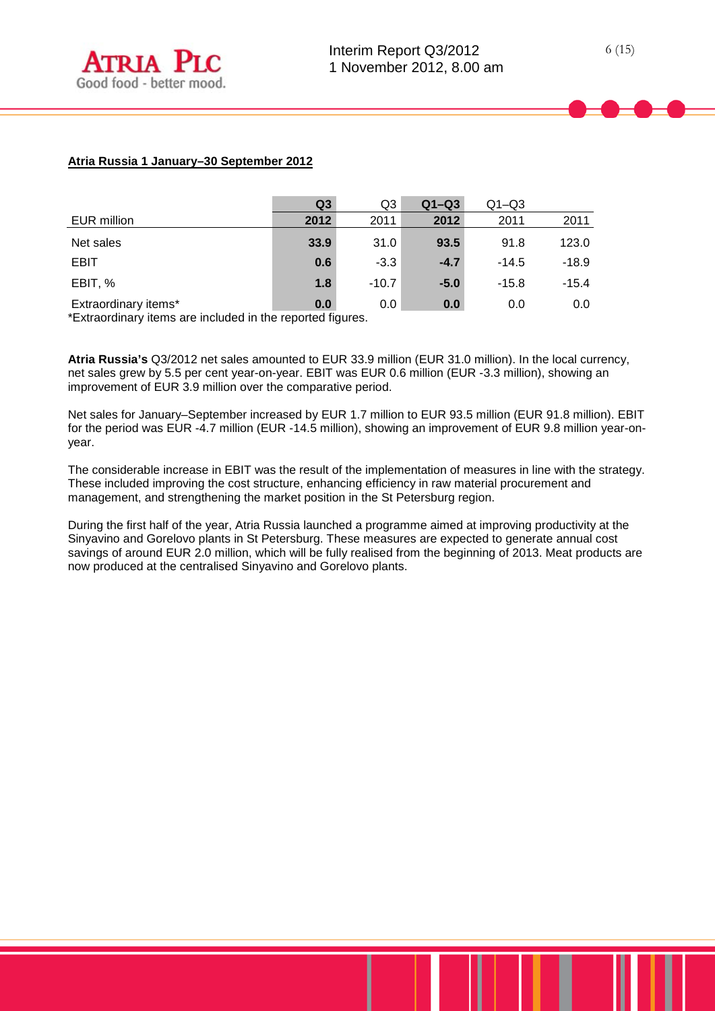## **Atria Russia 1 January–30 September 2012**

|                                                                                                                                        | Q <sub>3</sub> | Q3      | $Q1-Q3$ | $Q1 - Q3$ |         |
|----------------------------------------------------------------------------------------------------------------------------------------|----------------|---------|---------|-----------|---------|
| EUR million                                                                                                                            | 2012           | 2011    | 2012    | 2011      | 2011    |
| Net sales                                                                                                                              | 33.9           | 31.0    | 93.5    | 91.8      | 123.0   |
| <b>EBIT</b>                                                                                                                            | 0.6            | $-3.3$  | $-4.7$  | $-14.5$   | $-18.9$ |
| EBIT, %                                                                                                                                | 1.8            | $-10.7$ | $-5.0$  | $-15.8$   | $-15.4$ |
| Extraordinary items*<br>스마 - Allen - Allen - Allen - Allen - Allen - Allen - Allen - Allen - Allen - Allen - Allen - Allen - Allen - A | 0.0            | 0.0     | 0.0     | 0.0       | 0.0     |

\*Extraordinary items are included in the reported figures.

**Atria Russia's** Q3/2012 net sales amounted to EUR 33.9 million (EUR 31.0 million). In the local currency, net sales grew by 5.5 per cent year-on-year. EBIT was EUR 0.6 million (EUR -3.3 million), showing an improvement of EUR 3.9 million over the comparative period.

Net sales for January–September increased by EUR 1.7 million to EUR 93.5 million (EUR 91.8 million). EBIT for the period was EUR -4.7 million (EUR -14.5 million), showing an improvement of EUR 9.8 million year-onyear.

The considerable increase in EBIT was the result of the implementation of measures in line with the strategy. These included improving the cost structure, enhancing efficiency in raw material procurement and management, and strengthening the market position in the St Petersburg region.

During the first half of the year, Atria Russia launched a programme aimed at improving productivity at the Sinyavino and Gorelovo plants in St Petersburg. These measures are expected to generate annual cost savings of around EUR 2.0 million, which will be fully realised from the beginning of 2013. Meat products are now produced at the centralised Sinyavino and Gorelovo plants.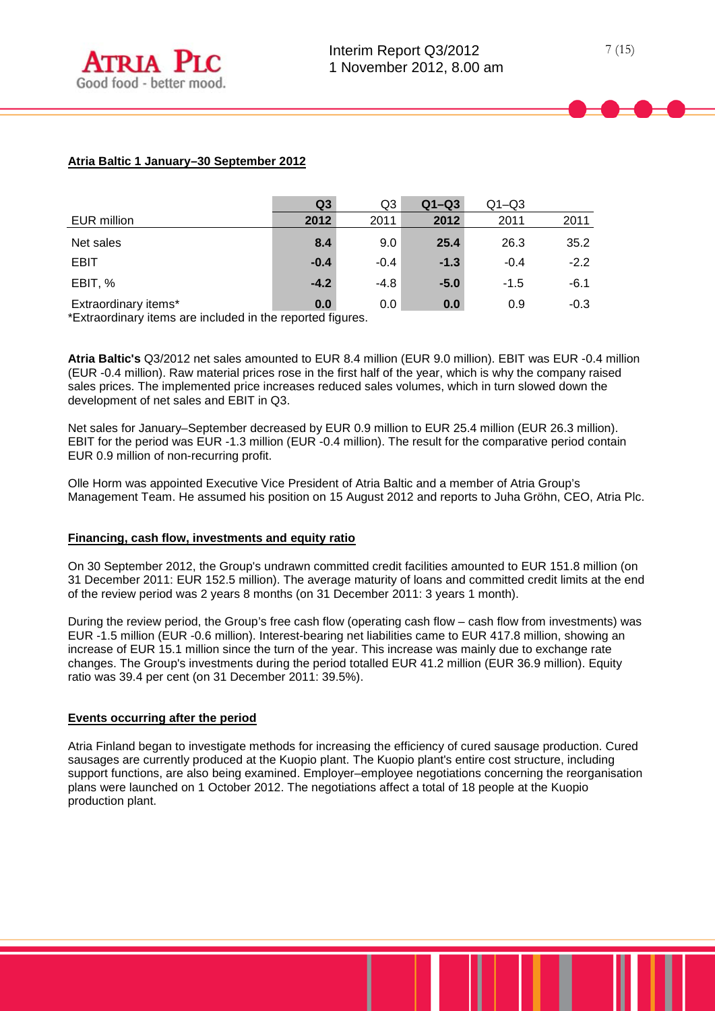## **Atria Baltic 1 January–30 September 2012**

|                                                                                                                                                                                                                                                                | Q <sub>3</sub>              | Q3     | $Q1-Q3$ | $Q1 - Q3$ |        |
|----------------------------------------------------------------------------------------------------------------------------------------------------------------------------------------------------------------------------------------------------------------|-----------------------------|--------|---------|-----------|--------|
| EUR million                                                                                                                                                                                                                                                    | 2012                        | 2011   | 2012    | 2011      | 2011   |
| Net sales                                                                                                                                                                                                                                                      | 8.4                         | 9.0    | 25.4    | 26.3      | 35.2   |
| <b>EBIT</b>                                                                                                                                                                                                                                                    | $-0.4$                      | $-0.4$ | $-1.3$  | $-0.4$    | $-2.2$ |
| EBIT, %                                                                                                                                                                                                                                                        | $-4.2$                      | $-4.8$ | $-5.0$  | $-1.5$    | $-6.1$ |
| Extraordinary items*<br>.<br>$\frac{1}{2}$ . The contract of the contract of the contract of the contract of the contract of the contract of the contract of the contract of the contract of the contract of the contract of the contract of the contract of t | 0.0<br>$\sim$ $\sim$ $\sim$ | 0.0    | 0.0     | 0.9       | $-0.3$ |

\*Extraordinary items are included in the reported figures.

**Atria Baltic's** Q3/2012 net sales amounted to EUR 8.4 million (EUR 9.0 million). EBIT was EUR -0.4 million (EUR -0.4 million). Raw material prices rose in the first half of the year, which is why the company raised sales prices. The implemented price increases reduced sales volumes, which in turn slowed down the development of net sales and EBIT in Q3.

Net sales for January–September decreased by EUR 0.9 million to EUR 25.4 million (EUR 26.3 million). EBIT for the period was EUR -1.3 million (EUR -0.4 million). The result for the comparative period contain EUR 0.9 million of non-recurring profit.

Olle Horm was appointed Executive Vice President of Atria Baltic and a member of Atria Group's Management Team. He assumed his position on 15 August 2012 and reports to Juha Gröhn, CEO, Atria Plc.

#### **Financing, cash flow, investments and equity ratio**

On 30 September 2012, the Group's undrawn committed credit facilities amounted to EUR 151.8 million (on 31 December 2011: EUR 152.5 million). The average maturity of loans and committed credit limits at the end of the review period was 2 years 8 months (on 31 December 2011: 3 years 1 month).

During the review period, the Group's free cash flow (operating cash flow – cash flow from investments) was EUR -1.5 million (EUR -0.6 million). Interest-bearing net liabilities came to EUR 417.8 million, showing an increase of EUR 15.1 million since the turn of the year. This increase was mainly due to exchange rate changes. The Group's investments during the period totalled EUR 41.2 million (EUR 36.9 million). Equity ratio was 39.4 per cent (on 31 December 2011: 39.5%).

## **Events occurring after the period**

Atria Finland began to investigate methods for increasing the efficiency of cured sausage production. Cured sausages are currently produced at the Kuopio plant. The Kuopio plant's entire cost structure, including support functions, are also being examined. Employer–employee negotiations concerning the reorganisation plans were launched on 1 October 2012. The negotiations affect a total of 18 people at the Kuopio production plant.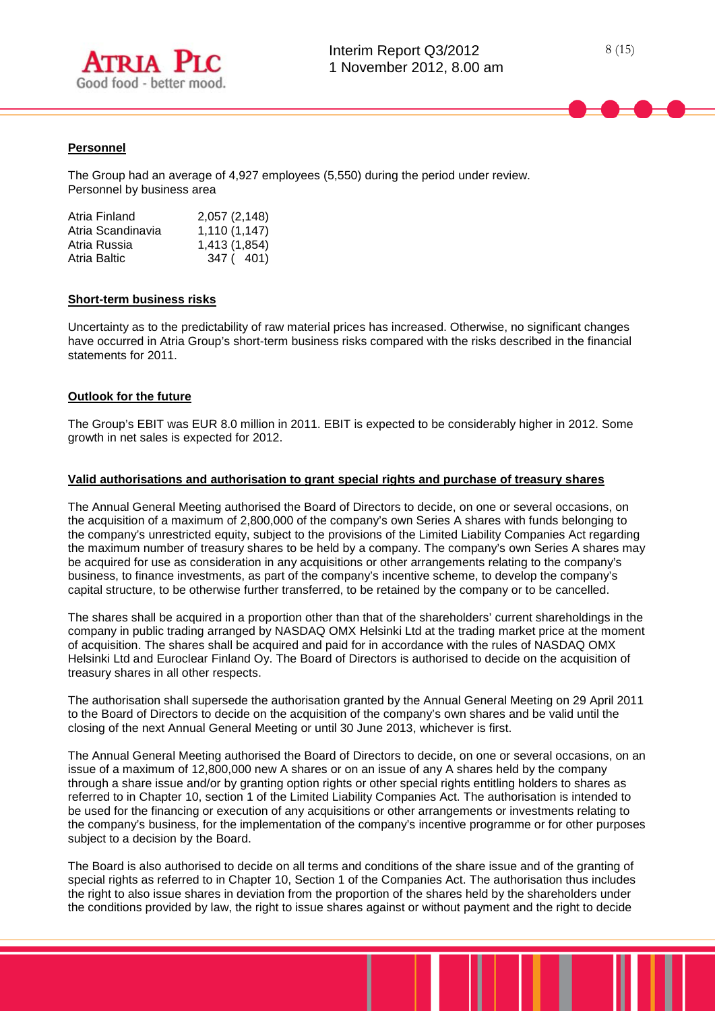



## **Personnel**

The Group had an average of 4,927 employees (5,550) during the period under review. Personnel by business area

| Atria Finland     | 2,057 (2,148) |
|-------------------|---------------|
| Atria Scandinavia | 1,110(1,147)  |
| Atria Russia      | 1,413 (1,854) |
| Atria Baltic      | 347 (401)     |

#### **Short-term business risks**

Uncertainty as to the predictability of raw material prices has increased. Otherwise, no significant changes have occurred in Atria Group's short-term business risks compared with the risks described in the financial statements for 2011.

#### **Outlook for the future**

The Group's EBIT was EUR 8.0 million in 2011. EBIT is expected to be considerably higher in 2012. Some growth in net sales is expected for 2012.

#### **Valid authorisations and authorisation to grant special rights and purchase of treasury shares**

The Annual General Meeting authorised the Board of Directors to decide, on one or several occasions, on the acquisition of a maximum of 2,800,000 of the company's own Series A shares with funds belonging to the company's unrestricted equity, subject to the provisions of the Limited Liability Companies Act regarding the maximum number of treasury shares to be held by a company. The company's own Series A shares may be acquired for use as consideration in any acquisitions or other arrangements relating to the company's business, to finance investments, as part of the company's incentive scheme, to develop the company's capital structure, to be otherwise further transferred, to be retained by the company or to be cancelled.

The shares shall be acquired in a proportion other than that of the shareholders' current shareholdings in the company in public trading arranged by NASDAQ OMX Helsinki Ltd at the trading market price at the moment of acquisition. The shares shall be acquired and paid for in accordance with the rules of NASDAQ OMX Helsinki Ltd and Euroclear Finland Oy. The Board of Directors is authorised to decide on the acquisition of treasury shares in all other respects.

The authorisation shall supersede the authorisation granted by the Annual General Meeting on 29 April 2011 to the Board of Directors to decide on the acquisition of the company's own shares and be valid until the closing of the next Annual General Meeting or until 30 June 2013, whichever is first.

The Annual General Meeting authorised the Board of Directors to decide, on one or several occasions, on an issue of a maximum of 12,800,000 new A shares or on an issue of any A shares held by the company through a share issue and/or by granting option rights or other special rights entitling holders to shares as referred to in Chapter 10, section 1 of the Limited Liability Companies Act. The authorisation is intended to be used for the financing or execution of any acquisitions or other arrangements or investments relating to the company's business, for the implementation of the company's incentive programme or for other purposes subject to a decision by the Board.

The Board is also authorised to decide on all terms and conditions of the share issue and of the granting of special rights as referred to in Chapter 10, Section 1 of the Companies Act. The authorisation thus includes the right to also issue shares in deviation from the proportion of the shares held by the shareholders under the conditions provided by law, the right to issue shares against or without payment and the right to decide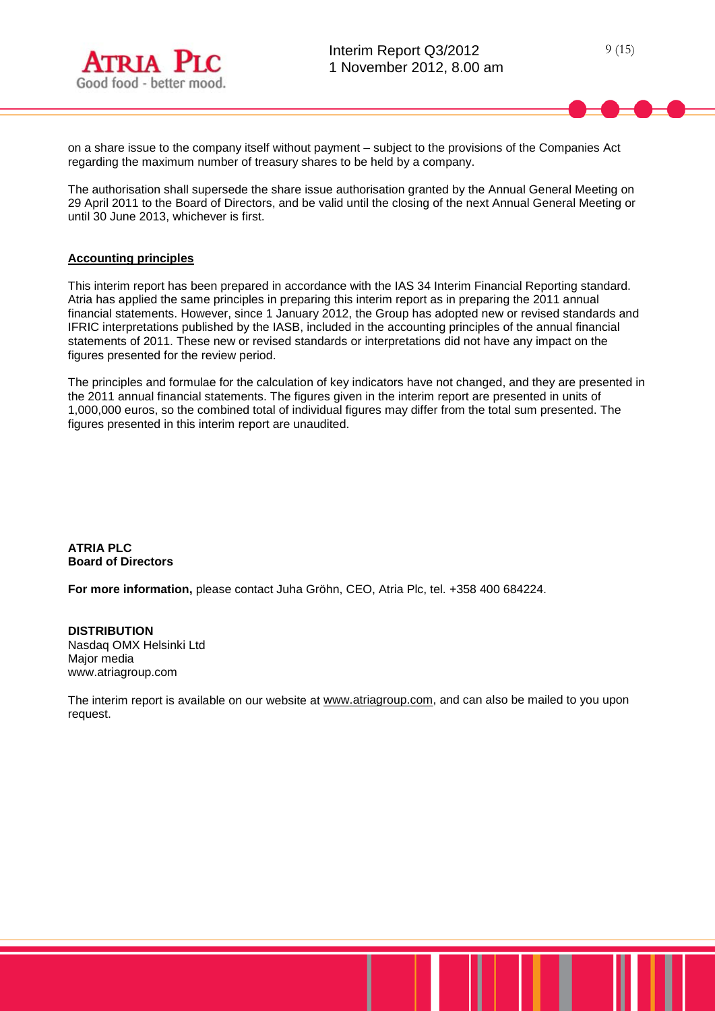on a share issue to the company itself without payment – subject to the provisions of the Companies Act regarding the maximum number of treasury shares to be held by a company.

The authorisation shall supersede the share issue authorisation granted by the Annual General Meeting on 29 April 2011 to the Board of Directors, and be valid until the closing of the next Annual General Meeting or until 30 June 2013, whichever is first.

# **Accounting principles**

This interim report has been prepared in accordance with the IAS 34 Interim Financial Reporting standard. Atria has applied the same principles in preparing this interim report as in preparing the 2011 annual financial statements. However, since 1 January 2012, the Group has adopted new or revised standards and IFRIC interpretations published by the IASB, included in the accounting principles of the annual financial statements of 2011. These new or revised standards or interpretations did not have any impact on the figures presented for the review period.

The principles and formulae for the calculation of key indicators have not changed, and they are presented in the 2011 annual financial statements. The figures given in the interim report are presented in units of 1,000,000 euros, so the combined total of individual figures may differ from the total sum presented. The figures presented in this interim report are unaudited.

**ATRIA PLC Board of Directors**

**For more information,** please contact Juha Gröhn, CEO, Atria Plc, tel. +358 400 684224.

**DISTRIBUTION** Nasdaq OMX Helsinki Ltd Major media www.atriagroup.com

The interim report is available on our website at [www.atriagroup.com,](http://www.atriagroup.com/) and can also be mailed to you upon request.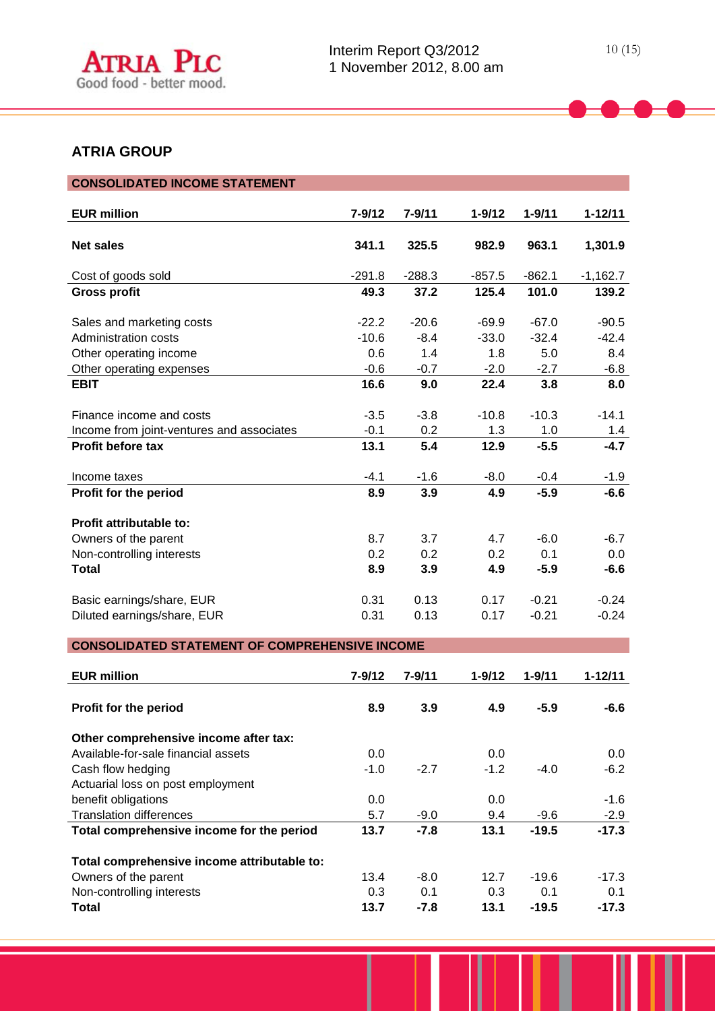

# **ATRIA GROUP**

| <b>CONSOLIDATED INCOME STATEMENT</b>                  |            |            |            |            |             |  |  |  |  |
|-------------------------------------------------------|------------|------------|------------|------------|-------------|--|--|--|--|
|                                                       |            |            |            |            |             |  |  |  |  |
| <b>EUR million</b>                                    | $7 - 9/12$ | $7 - 9/11$ | $1 - 9/12$ | $1 - 9/11$ | $1 - 12/11$ |  |  |  |  |
|                                                       |            |            |            |            |             |  |  |  |  |
| <b>Net sales</b>                                      | 341.1      | 325.5      | 982.9      | 963.1      | 1,301.9     |  |  |  |  |
|                                                       |            |            |            |            |             |  |  |  |  |
| Cost of goods sold                                    | $-291.8$   | $-288.3$   | $-857.5$   | $-862.1$   | $-1,162.7$  |  |  |  |  |
| <b>Gross profit</b>                                   | 49.3       | 37.2       | 125.4      | 101.0      | 139.2       |  |  |  |  |
|                                                       |            |            |            |            |             |  |  |  |  |
| Sales and marketing costs                             | $-22.2$    | $-20.6$    | $-69.9$    | $-67.0$    | $-90.5$     |  |  |  |  |
| Administration costs                                  | $-10.6$    | $-8.4$     | $-33.0$    | $-32.4$    | $-42.4$     |  |  |  |  |
| Other operating income                                | 0.6        | 1.4        | 1.8        | 5.0        | 8.4         |  |  |  |  |
| Other operating expenses                              | $-0.6$     | $-0.7$     | $-2.0$     | $-2.7$     | $-6.8$      |  |  |  |  |
| <b>EBIT</b>                                           | 16.6       | 9.0        | 22.4       | 3.8        | 8.0         |  |  |  |  |
|                                                       |            |            |            |            |             |  |  |  |  |
| Finance income and costs                              | $-3.5$     | $-3.8$     | $-10.8$    | $-10.3$    | $-14.1$     |  |  |  |  |
| Income from joint-ventures and associates             | $-0.1$     | 0.2        | 1.3        | 1.0        | 1.4         |  |  |  |  |
| <b>Profit before tax</b>                              | 13.1       | 5.4        | 12.9       | $-5.5$     | $-4.7$      |  |  |  |  |
|                                                       |            |            |            |            |             |  |  |  |  |
| Income taxes                                          | $-4.1$     | $-1.6$     | $-8.0$     | $-0.4$     | $-1.9$      |  |  |  |  |
| Profit for the period                                 | 8.9        | 3.9        | 4.9        | $-5.9$     | $-6.6$      |  |  |  |  |
|                                                       |            |            |            |            |             |  |  |  |  |
| Profit attributable to:                               |            |            |            |            |             |  |  |  |  |
| Owners of the parent                                  | 8.7        | 3.7        | 4.7        | $-6.0$     | $-6.7$      |  |  |  |  |
| Non-controlling interests                             | 0.2        | 0.2        | 0.2        | 0.1        | 0.0         |  |  |  |  |
| <b>Total</b>                                          | 8.9        | 3.9        | 4.9        | $-5.9$     | $-6.6$      |  |  |  |  |
|                                                       |            |            |            |            |             |  |  |  |  |
| Basic earnings/share, EUR                             | 0.31       | 0.13       | 0.17       | $-0.21$    | $-0.24$     |  |  |  |  |
| Diluted earnings/share, EUR                           | 0.31       | 0.13       | 0.17       | $-0.21$    | $-0.24$     |  |  |  |  |
|                                                       |            |            |            |            |             |  |  |  |  |
| <b>CONSOLIDATED STATEMENT OF COMPREHENSIVE INCOME</b> |            |            |            |            |             |  |  |  |  |

| <b>EUR million</b>                          | $7 - 9/12$ | $7 - 9/11$ | $1 - 9/12$ | $1 - 9/11$ | $1 - 12/11$ |
|---------------------------------------------|------------|------------|------------|------------|-------------|
| Profit for the period                       | 8.9        | 3.9        | 4.9        | $-5.9$     | -6.6        |
| Other comprehensive income after tax:       |            |            |            |            |             |
| Available-for-sale financial assets         | 0.0        |            | 0.0        |            | 0.0         |
| Cash flow hedging                           | $-1.0$     | $-2.7$     | $-1.2$     | $-4.0$     | $-6.2$      |
| Actuarial loss on post employment           |            |            |            |            |             |
| benefit obligations                         | 0.0        |            | 0.0        |            | $-1.6$      |
| <b>Translation differences</b>              | 5.7        | $-9.0$     | 9.4        | $-9.6$     | $-2.9$      |
| Total comprehensive income for the period   | 13.7       | $-7.8$     | 13.1       | $-19.5$    | $-17.3$     |
| Total comprehensive income attributable to: |            |            |            |            |             |
| Owners of the parent                        | 13.4       | $-8.0$     | 12.7       | $-19.6$    | $-17.3$     |
| Non-controlling interests                   | 0.3        | 0.1        | 0.3        | 0.1        | 0.1         |
| Total                                       | 13.7       | $-7.8$     | 13.1       | $-19.5$    | $-17.3$     |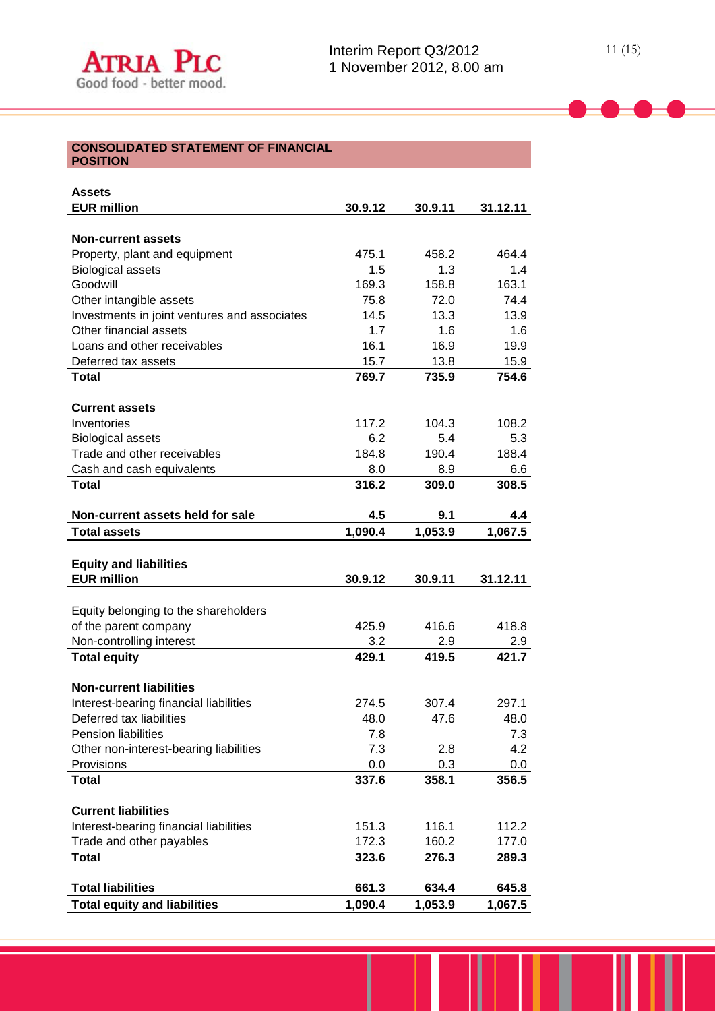#### **CONSOLIDATED STATEMENT OF FINANCIAL POSITION**

| <b>Assets</b>                                             |         |         |          |
|-----------------------------------------------------------|---------|---------|----------|
| <b>EUR million</b>                                        | 30.9.12 | 30.9.11 | 31.12.11 |
|                                                           |         |         |          |
| <b>Non-current assets</b>                                 | 475.1   | 458.2   | 464.4    |
| Property, plant and equipment<br><b>Biological assets</b> | 1.5     | 1.3     | 1.4      |
| Goodwill                                                  | 169.3   | 158.8   | 163.1    |
| Other intangible assets                                   | 75.8    | 72.0    | 74.4     |
| Investments in joint ventures and associates              | 14.5    | 13.3    | 13.9     |
| Other financial assets                                    | 1.7     | 1.6     | 1.6      |
| Loans and other receivables                               | 16.1    | 16.9    | 19.9     |
| Deferred tax assets                                       | 15.7    | 13.8    | 15.9     |
| <b>Total</b>                                              | 769.7   | 735.9   | 754.6    |
|                                                           |         |         |          |
| <b>Current assets</b>                                     |         |         |          |
| Inventories                                               | 117.2   | 104.3   | 108.2    |
| <b>Biological assets</b>                                  | 6.2     | 5.4     | 5.3      |
| Trade and other receivables                               | 184.8   | 190.4   | 188.4    |
| Cash and cash equivalents                                 | 8.0     | 8.9     | 6.6      |
| <b>Total</b>                                              | 316.2   | 309.0   | 308.5    |
| Non-current assets held for sale                          | 4.5     | 9.1     | 4.4      |
| <b>Total assets</b>                                       | 1,090.4 | 1,053.9 | 1,067.5  |
|                                                           |         |         |          |
| <b>Equity and liabilities</b>                             |         |         |          |
| <b>EUR million</b>                                        | 30.9.12 | 30.9.11 | 31.12.11 |
|                                                           |         |         |          |
| Equity belonging to the shareholders                      |         |         |          |
| of the parent company                                     | 425.9   | 416.6   | 418.8    |
| Non-controlling interest                                  | 3.2     | 2.9     | 2.9      |
| <b>Total equity</b>                                       | 429.1   | 419.5   | 421.7    |
| <b>Non-current liabilities</b>                            |         |         |          |
| Interest-bearing financial liabilities                    | 274.5   | 307.4   | 297.1    |
| Deferred tax liabilities                                  | 48.0    | 47.6    | 48.0     |
| Pension liabilities                                       | 7.8     |         | 7.3      |
| Other non-interest-bearing liabilities                    | 7.3     | 2.8     | 4.2      |
| Provisions                                                | 0.0     | 0.3     | $0.0\,$  |
| <b>Total</b>                                              | 337.6   | 358.1   | 356.5    |
|                                                           |         |         |          |
| <b>Current liabilities</b>                                |         |         |          |
| Interest-bearing financial liabilities                    | 151.3   | 116.1   | 112.2    |
| Trade and other payables                                  | 172.3   | 160.2   | 177.0    |
| <b>Total</b>                                              | 323.6   | 276.3   | 289.3    |
| <b>Total liabilities</b>                                  | 661.3   | 634.4   | 645.8    |
| <b>Total equity and liabilities</b>                       | 1,090.4 |         |          |
|                                                           |         | 1,053.9 | 1,067.5  |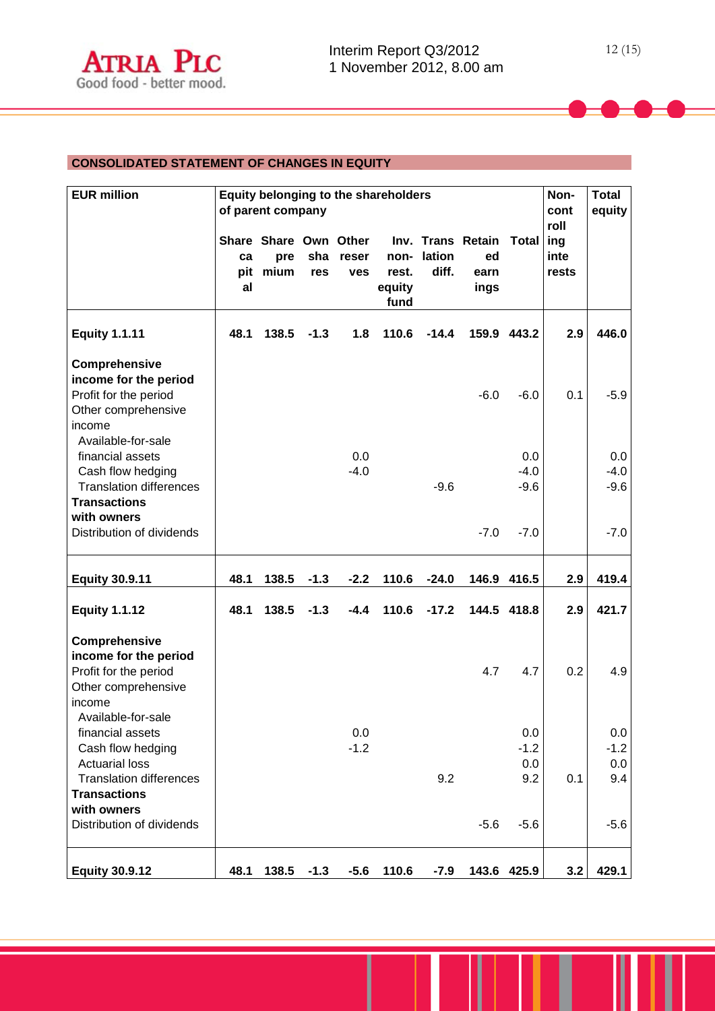# **CONSOLIDATED STATEMENT OF CHANGES IN EQUITY**

| <b>EUR million</b>                                                                                                                     | Equity belonging to the shareholders<br>of parent company |                                      |            |                     |                                 | Non-<br>cont<br>roll | <b>Total</b><br>equity                  |                             |                      |                             |
|----------------------------------------------------------------------------------------------------------------------------------------|-----------------------------------------------------------|--------------------------------------|------------|---------------------|---------------------------------|----------------------|-----------------------------------------|-----------------------------|----------------------|-----------------------------|
|                                                                                                                                        | ca<br>pit<br>al                                           | Share Share Own Other<br>pre<br>mium | sha<br>res | reser<br><b>ves</b> | non-<br>rest.<br>equity<br>fund | lation<br>diff.      | Inv. Trans Retain<br>ed<br>earn<br>ings | <b>Total</b>                | ing<br>inte<br>rests |                             |
| <b>Equity 1.1.11</b>                                                                                                                   | 48.1                                                      | 138.5                                | $-1.3$     | 1.8                 | 110.6                           | $-14.4$              |                                         | 159.9 443.2                 | 2.9                  | 446.0                       |
| Comprehensive<br>income for the period<br>Profit for the period<br>Other comprehensive<br>income                                       |                                                           |                                      |            |                     |                                 |                      | $-6.0$                                  | $-6.0$                      | 0.1                  | $-5.9$                      |
| Available-for-sale<br>financial assets<br>Cash flow hedging<br><b>Translation differences</b><br><b>Transactions</b><br>with owners    |                                                           |                                      |            | 0.0<br>$-4.0$       |                                 | $-9.6$               |                                         | 0.0<br>$-4.0$<br>$-9.6$     |                      | 0.0<br>$-4.0$<br>$-9.6$     |
| Distribution of dividends                                                                                                              |                                                           |                                      |            |                     |                                 |                      | $-7.0$                                  | $-7.0$                      |                      | $-7.0$                      |
| <b>Equity 30.9.11</b>                                                                                                                  | 48.1                                                      | 138.5                                | $-1.3$     | $-2.2$              | 110.6                           | $-24.0$              |                                         | 146.9 416.5                 | 2.9                  | 419.4                       |
| <b>Equity 1.1.12</b>                                                                                                                   | 48.1                                                      | 138.5                                | $-1.3$     | $-4.4$              | 110.6                           | $-17.2$              |                                         | 144.5 418.8                 | 2.9                  | 421.7                       |
| Comprehensive<br>income for the period<br>Profit for the period<br>Other comprehensive<br>income<br>Available-for-sale                 |                                                           |                                      |            |                     |                                 |                      | 4.7                                     | 4.7                         | 0.2                  | 4.9                         |
| financial assets<br>Cash flow hedging<br><b>Actuarial loss</b><br><b>Translation differences</b><br><b>Transactions</b><br>with owners |                                                           |                                      |            | 0.0<br>$-1.2$       |                                 | 9.2                  |                                         | 0.0<br>$-1.2$<br>0.0<br>9.2 | 0.1                  | 0.0<br>$-1.2$<br>0.0<br>9.4 |
| Distribution of dividends                                                                                                              |                                                           |                                      |            |                     |                                 |                      | $-5.6$                                  | $-5.6$                      |                      | $-5.6$                      |
| <b>Equity 30.9.12</b>                                                                                                                  | 48.1                                                      | 138.5                                | $-1.3$     | $-5.6$              | 110.6                           | $-7.9$               | 143.6                                   | 425.9                       | 3.2                  | 429.1                       |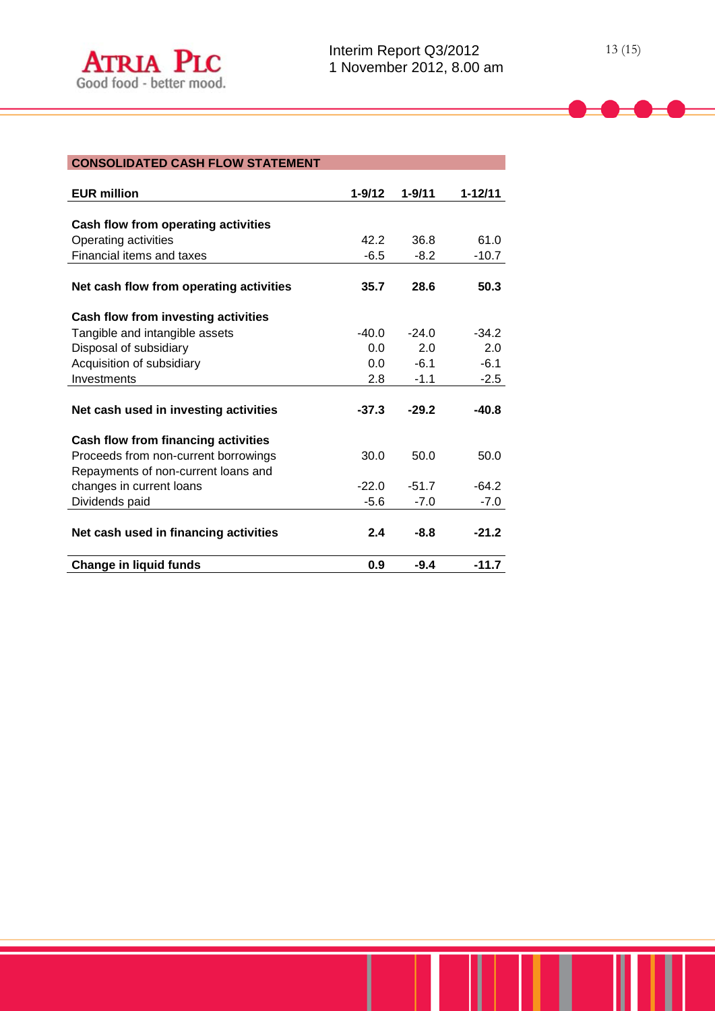| <b>CONSOLIDATED CASH FLOW STATEMENT</b>    |            |            |             |
|--------------------------------------------|------------|------------|-------------|
|                                            |            |            |             |
| <b>EUR million</b>                         | $1 - 9/12$ | $1 - 9/11$ | $1 - 12/11$ |
|                                            |            |            |             |
| Cash flow from operating activities        |            |            |             |
| Operating activities                       | 42.2       | 36.8       | 61.0        |
| <b>Financial items and taxes</b>           | $-6.5$     | $-8.2$     | $-10.7$     |
| Net cash flow from operating activities    | 35.7       | 28.6       | 50.3        |
| Cash flow from investing activities        |            |            |             |
| Tangible and intangible assets             | $-40.0$    | $-24.0$    | $-34.2$     |
| Disposal of subsidiary                     | 0.0        | 2.0        | 2.0         |
| Acquisition of subsidiary                  | 0.0        | $-6.1$     | $-6.1$      |
| Investments                                | 2.8        | $-1.1$     | $-2.5$      |
| Net cash used in investing activities      | $-37.3$    | $-29.2$    | $-40.8$     |
| <b>Cash flow from financing activities</b> |            |            |             |
| Proceeds from non-current borrowings       | 30.0       | 50.0       | 50.0        |
| Repayments of non-current loans and        |            |            |             |
| changes in current loans                   | $-22.0$    | $-51.7$    | $-64.2$     |
| Dividends paid                             | $-5.6$     | $-7.0$     | $-7.0$      |
| Net cash used in financing activities      | 2.4        | $-8.8$     | $-21.2$     |

**Change in liquid funds 0.9 -9.4 -11.7**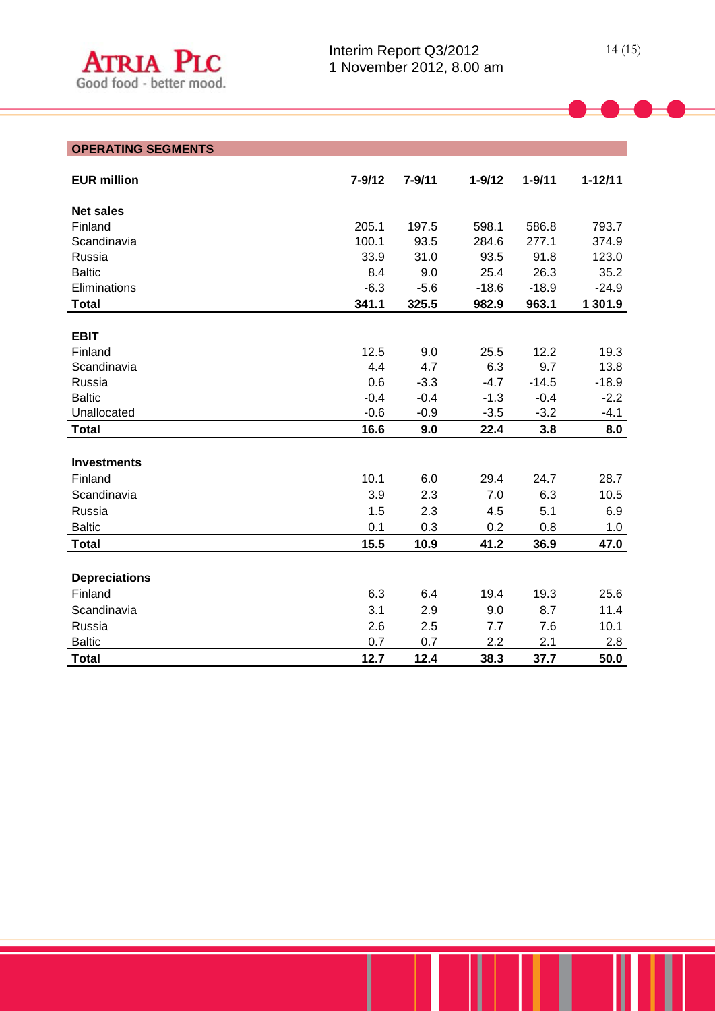# **OPERATING SEGMENTS**

| <b>EUR million</b>   | $7 - 9/12$ | $7 - 9/11$ | $1 - 9/12$ | $1 - 9/11$ | $1 - 12/11$ |
|----------------------|------------|------------|------------|------------|-------------|
|                      |            |            |            |            |             |
| <b>Net sales</b>     |            |            |            |            |             |
| Finland              | 205.1      | 197.5      | 598.1      | 586.8      | 793.7       |
| Scandinavia          | 100.1      | 93.5       | 284.6      | 277.1      | 374.9       |
| Russia               | 33.9       | 31.0       | 93.5       | 91.8       | 123.0       |
| <b>Baltic</b>        | 8.4        | 9.0        | 25.4       | 26.3       | 35.2        |
| Eliminations         | $-6.3$     | $-5.6$     | $-18.6$    | $-18.9$    | $-24.9$     |
| <b>Total</b>         | 341.1      | 325.5      | 982.9      | 963.1      | 1 301.9     |
|                      |            |            |            |            |             |
| <b>EBIT</b>          |            |            |            |            |             |
| Finland              | 12.5       | 9.0        | 25.5       | 12.2       | 19.3        |
| Scandinavia          | 4.4        | 4.7        | 6.3        | 9.7        | 13.8        |
| Russia               | 0.6        | $-3.3$     | $-4.7$     | $-14.5$    | $-18.9$     |
| <b>Baltic</b>        | $-0.4$     | $-0.4$     | $-1.3$     | $-0.4$     | $-2.2$      |
| Unallocated          | $-0.6$     | $-0.9$     | $-3.5$     | $-3.2$     | $-4.1$      |
| <b>Total</b>         | 16.6       | 9.0        | 22.4       | 3.8        | 8.0         |
|                      |            |            |            |            |             |
| <b>Investments</b>   |            |            |            |            |             |
| Finland              | 10.1       | 6.0        | 29.4       | 24.7       | 28.7        |
| Scandinavia          | 3.9        | 2.3        | 7.0        | 6.3        | 10.5        |
| Russia               | 1.5        | 2.3        | 4.5        | 5.1        | 6.9         |
| <b>Baltic</b>        | 0.1        | 0.3        | 0.2        | 0.8        | 1.0         |
| <b>Total</b>         | 15.5       | 10.9       | 41.2       | 36.9       | 47.0        |
|                      |            |            |            |            |             |
| <b>Depreciations</b> |            |            |            |            |             |
| Finland              | 6.3        | 6.4        | 19.4       | 19.3       | 25.6        |
| Scandinavia          | 3.1        | 2.9        | 9.0        | 8.7        | 11.4        |
| Russia               | 2.6        | 2.5        | 7.7        | 7.6        | 10.1        |
| <b>Baltic</b>        | 0.7        | 0.7        | 2.2        | 2.1        | 2.8         |
| <b>Total</b>         | 12.7       | 12.4       | 38.3       | 37.7       | 50.0        |